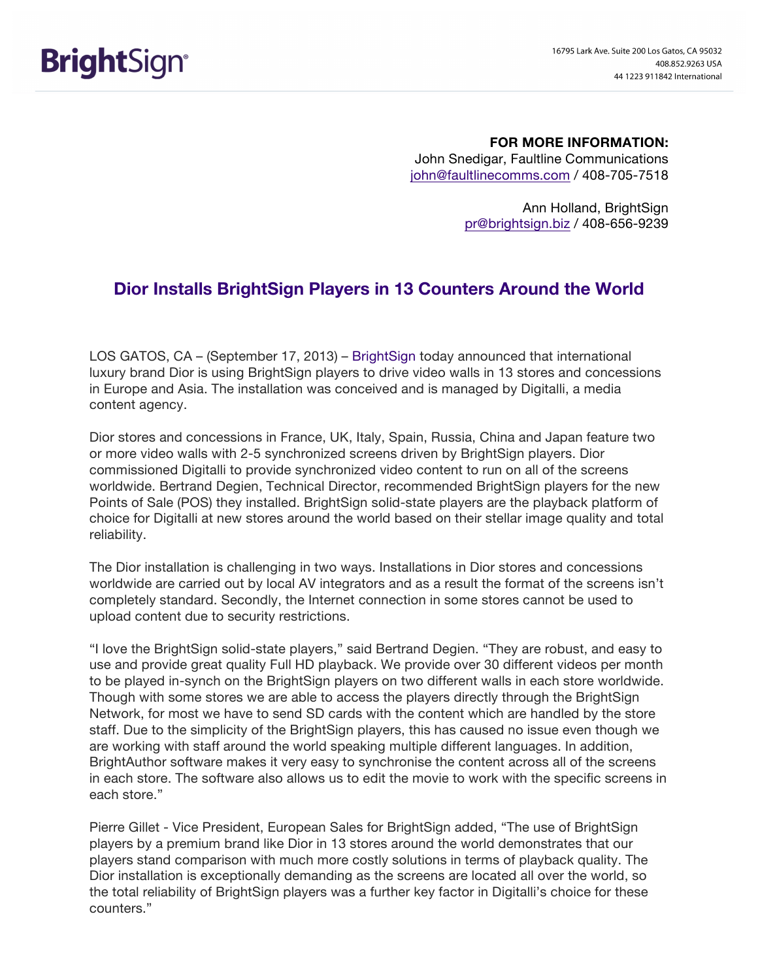**FOR MORE INFORMATION:** John Snedigar, Faultline Communications john@faultlinecomms.com / 408-705-7518

> Ann Holland, BrightSign pr@brightsign.biz / 408-656-9239

## **Dior Installs BrightSign Players in 13 Counters Around the World**

LOS GATOS, CA – (September 17, 2013) – BrightSign today announced that international luxury brand Dior is using BrightSign players to drive video walls in 13 stores and concessions in Europe and Asia. The installation was conceived and is managed by Digitalli, a media content agency.

Dior stores and concessions in France, UK, Italy, Spain, Russia, China and Japan feature two or more video walls with 2-5 synchronized screens driven by BrightSign players. Dior commissioned Digitalli to provide synchronized video content to run on all of the screens worldwide. Bertrand Degien, Technical Director, recommended BrightSign players for the new Points of Sale (POS) they installed. BrightSign solid-state players are the playback platform of choice for Digitalli at new stores around the world based on their stellar image quality and total reliability.

The Dior installation is challenging in two ways. Installations in Dior stores and concessions worldwide are carried out by local AV integrators and as a result the format of the screens isn't completely standard. Secondly, the Internet connection in some stores cannot be used to upload content due to security restrictions.

"I love the BrightSign solid-state players," said Bertrand Degien. "They are robust, and easy to use and provide great quality Full HD playback. We provide over 30 different videos per month to be played in-synch on the BrightSign players on two different walls in each store worldwide. Though with some stores we are able to access the players directly through the BrightSign Network, for most we have to send SD cards with the content which are handled by the store staff. Due to the simplicity of the BrightSign players, this has caused no issue even though we are working with staff around the world speaking multiple different languages. In addition, BrightAuthor software makes it very easy to synchronise the content across all of the screens in each store. The software also allows us to edit the movie to work with the specific screens in each store."

Pierre Gillet - Vice President, European Sales for BrightSign added, "The use of BrightSign players by a premium brand like Dior in 13 stores around the world demonstrates that our players stand comparison with much more costly solutions in terms of playback quality. The Dior installation is exceptionally demanding as the screens are located all over the world, so the total reliability of BrightSign players was a further key factor in Digitalli's choice for these counters."